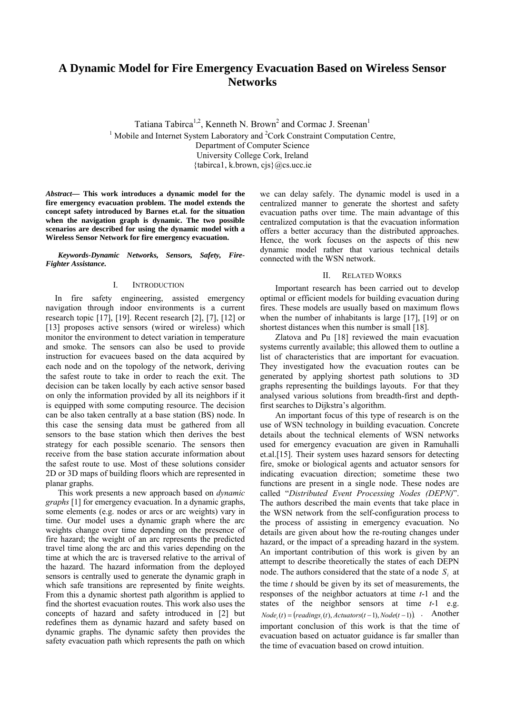# **A Dynamic Model for Fire Emergency Evacuation Based on Wireless Sensor Networks**

Tatiana Tabirca<sup>1,2</sup>, Kenneth N. Brown<sup>2</sup> and Cormac J. Sreenan<sup>1</sup> <sup>1</sup> Mobile and Internet System Laboratory and <sup>2</sup>Cork Constraint Computation Centre, Department of Computer Science University College Cork, Ireland {tabirca1, k.brown, cjs}@cs.ucc.ie

*Abstract***— This work introduces a dynamic model for the fire emergency evacuation problem. The model extends the concept safety introduced by Barnes et.al. for the situation when the navigation graph is dynamic. The two possible scenarios are described for using the dynamic model with a Wireless Sensor Network for fire emergency evacuation.** 

*Keywords-Dynamic Networks, Sensors, Safety, Fire-Fighter Assistance.* 

### I. INTRODUCTION

In fire safety engineering, assisted emergency navigation through indoor environments is a current research topic [17], [19]. Recent research [2], [7], [12] or [13] proposes active sensors (wired or wireless) which monitor the environment to detect variation in temperature and smoke. The sensors can also be used to provide instruction for evacuees based on the data acquired by each node and on the topology of the network, deriving the safest route to take in order to reach the exit. The decision can be taken locally by each active sensor based on only the information provided by all its neighbors if it is equipped with some computing resource. The decision can be also taken centrally at a base station (BS) node. In this case the sensing data must be gathered from all sensors to the base station which then derives the best strategy for each possible scenario. The sensors then receive from the base station accurate information about the safest route to use. Most of these solutions consider 2D or 3D maps of building floors which are represented in planar graphs.

This work presents a new approach based on *dynamic graphs* [1] for emergency evacuation. In a dynamic graphs, some elements (e.g. nodes or arcs or arc weights) vary in time. Our model uses a dynamic graph where the arc weights change over time depending on the presence of fire hazard; the weight of an arc represents the predicted travel time along the arc and this varies depending on the time at which the arc is traversed relative to the arrival of the hazard. The hazard information from the deployed sensors is centrally used to generate the dynamic graph in which safe transitions are represented by finite weights. From this a dynamic shortest path algorithm is applied to find the shortest evacuation routes. This work also uses the concepts of hazard and safety introduced in [2] but redefines them as dynamic hazard and safety based on dynamic graphs. The dynamic safety then provides the safety evacuation path which represents the path on which

we can delay safely. The dynamic model is used in a centralized manner to generate the shortest and safety evacuation paths over time. The main advantage of this centralized computation is that the evacuation information offers a better accuracy than the distributed approaches. Hence, the work focuses on the aspects of this new dynamic model rather that various technical details connected with the WSN network.

# II. RELATED WORKS

Important research has been carried out to develop optimal or efficient models for building evacuation during fires. These models are usually based on maximum flows when the number of inhabitants is large [17], [19] or on shortest distances when this number is small [18].

Zlatova and Pu [18] reviewed the main evacuation systems currently available; this allowed them to outline a list of characteristics that are important for evacuation. They investigated how the evacuation routes can be generated by applying shortest path solutions to 3D graphs representing the buildings layouts. For that they analysed various solutions from breadth-first and depthfirst searches to Dijkstra's algorithm.

An important focus of this type of research is on the use of WSN technology in building evacuation. Concrete details about the technical elements of WSN networks used for emergency evacuation are given in Ramuhalli et.al.[15]. Their system uses hazard sensors for detecting fire, smoke or biological agents and actuator sensors for indicating evacuation direction; sometime these two functions are present in a single node. These nodes are called "*Distributed Event Processing Nodes (DEPN)*". The authors described the main events that take place in the WSN network from the self-configuration process to the process of assisting in emergency evacuation. No details are given about how the re-routing changes under hazard, or the impact of a spreading hazard in the system. An important contribution of this work is given by an attempt to describe theoretically the states of each DEPN node. The authors considered that the state of a node  $S_i$  at the time *t* should be given by its set of measurements, the responses of the neighbor actuators at time *t*-1 and the states of the neighbor sensors at time *t*-1 e.g.  $Node_i(t) = (reading_i(t), Actuators(t-1),Node(t-1)).$  Another important conclusion of this work is that the time of evacuation based on actuator guidance is far smaller than the time of evacuation based on crowd intuition.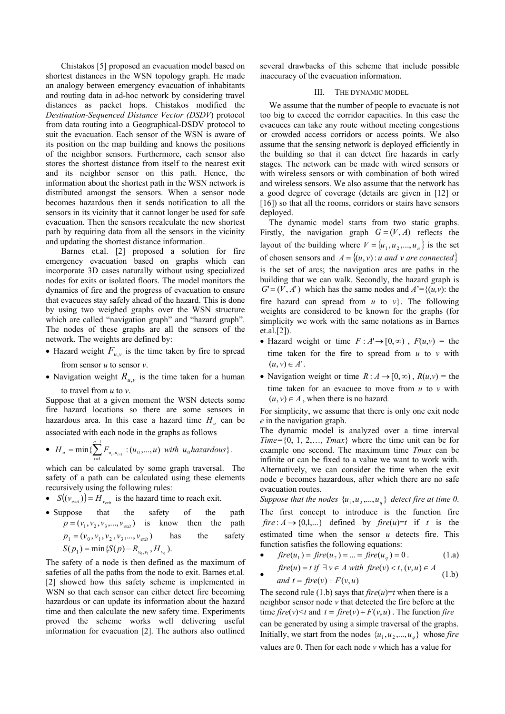Chistakos [5] proposed an evacuation model based on shortest distances in the WSN topology graph. He made an analogy between emergency evacuation of inhabitants and routing data in ad-hoc network by considering travel distances as packet hops. Chistakos modified the *Destination-Sequenced Distance Vector (DSDV*) protocol from data routing into a Geographical-DSDV protocol to suit the evacuation. Each sensor of the WSN is aware of its position on the map building and knows the positions of the neighbor sensors. Furthermore, each sensor also stores the shortest distance from itself to the nearest exit and its neighbor sensor on this path. Hence, the information about the shortest path in the WSN network is distributed amongst the sensors. When a sensor node becomes hazardous then it sends notification to all the sensors in its vicinity that it cannot longer be used for safe evacuation. Then the sensors recalculate the new shortest path by requiring data from all the sensors in the vicinity and updating the shortest distance information.

Barnes et.al. [2] proposed a solution for fire emergency evacuation based on graphs which can incorporate 3D cases naturally without using specialized nodes for exits or isolated floors. The model monitors the dynamics of fire and the progress of evacuation to ensure that evacuees stay safely ahead of the hazard. This is done by using two weighed graphs over the WSN structure which are called "navigation graph" and "hazard graph". The nodes of these graphs are all the sensors of the network. The weights are defined by:

- Hazard weight  $F_{\nu\nu}$  is the time taken by fire to spread
	- from sensor *u* to sensor *v*.
- Navigation weight  $R_{u,v}$  is the time taken for a human to travel from *u* to *v*.

Suppose that at a given moment the WSN detects some fire hazard locations so there are some sensors in hazardous area. In this case a hazard time  $H_u$  can be associated with each node in the graphs as follows

• 
$$
H_u = \min \{ \sum_{i=1}^{n-1} F_{u_i, u_{i+1}} : (u_0, ..., u) \text{ with } u_0 \text{hazardous} \}.
$$

which can be calculated by some graph traversal. The safety of a path can be calculated using these elements recursively using the following rules:

- $S((v_{exit})) = H_{v_{crit}}$  is the hazard time to reach exit.
- Suppose that the safety of the path  $p = (v_1, v_2, v_3, \dots, v_{exit})$  is know then the path  $p_1 = (v_0, v_1, v_2, v_3, ..., v_{exit})$  has the safety  $S(p_1) = \min \{ S(p) - R_{v_0, v_1}, H_{v_0} \}.$

The safety of a node is then defined as the maximum of safeties of all the paths from the node to exit. Barnes et.al. [2] showed how this safety scheme is implemented in WSN so that each sensor can either detect fire becoming hazardous or can update its information about the hazard time and then calculate the new safety time. Experiments proved the scheme works well delivering useful information for evacuation [2]. The authors also outlined

several drawbacks of this scheme that include possible inaccuracy of the evacuation information.

## III. THE DYNAMIC MODEL

We assume that the number of people to evacuate is not too big to exceed the corridor capacities. In this case the evacuees can take any route without meeting congestions or crowded access corridors or access points. We also assume that the sensing network is deployed efficiently in the building so that it can detect fire hazards in early stages. The network can be made with wired sensors or with wireless sensors or with combination of both wired and wireless sensors. We also assume that the network has a good degree of coverage (details are given in [12] or [16]) so that all the rooms, corridors or stairs have sensors deployed.

The dynamic model starts from two static graphs. Firstly, the navigation graph  $G = (V, A)$  reflects the layout of the building where  $V = \{u_1, u_2, ..., u_n\}$  is the set of chosen sensors and  $A = \{(u, v) : u \text{ and } v \text{ are connected}\}\$ is the set of arcs; the navigation arcs are paths in the building that we can walk. Secondly, the hazard graph is  $G' = (V, A')$  which has the same nodes and  $A' = \{(u, v):$  the fire hazard can spread from  $u$  to  $v$ }. The following weights are considered to be known for the graphs (for simplicity we work with the same notations as in Barnes et.al.[2]).

- Hazard weight or time  $F : A' \rightarrow [0, \infty)$ ,  $F(u,v) =$  the time taken for the fire to spread from *u* to *v* with  $(u, v) \in A'$ .
- Navigation weight or time  $R : A \rightarrow [0, \infty)$ ,  $R(u,v) =$  the time taken for an evacuee to move from *u* to *v* with  $(u, v) \in A$ , when there is no hazard.

For simplicity, we assume that there is only one exit node *e* in the navigation graph.

The dynamic model is analyzed over a time interval *Time=*{0, 1, 2,…, *Tmax*} where the time unit can be for example one second. The maximum time *Tmax* can be infinite or can be fixed to a value we want to work with. Alternatively, we can consider the time when the exit node *e* becomes hazardous, after which there are no safe evacuation routes.

Suppose that the nodes  $\{u_1, u_2, ..., u_q\}$  detect fire at time 0. The first concept to introduce is the function fire  $\text{fire}: A \rightarrow \{0,1,...\}$  defined by  $\text{fire}(u) = t$  if *t* is the estimated time when the sensor *u* detects fire. This function satisfies the following equations:

 $fire(u<sub>1</sub>) = fire(u<sub>2</sub>) = ... = fire(u<sub>a</sub>) = 0.$  (1.a)

• 
$$
fire(u) = t \text{ if } \exists v \in A \text{ with } fire(v) < t, (v, u) \in A
$$
  
and  $t = fire(v) + F(v, u)$  (1.b)

The second rule (1.b) says that  $\hat{t}$ *ire*(*u*)=*t* when there is a neighbor sensor node *v* that detected the fire before at the time  $\hat{f}ire(v) \leq t$  and  $t = \hat{f}ire(v) + F(v, u)$ . The function  $\hat{f}ire$ can be generated by using a simple traversal of the graphs. Initially, we start from the nodes  $\{u_1, u_2, ..., u_q\}$  whose *fire* values are 0. Then for each node *v* which has a value for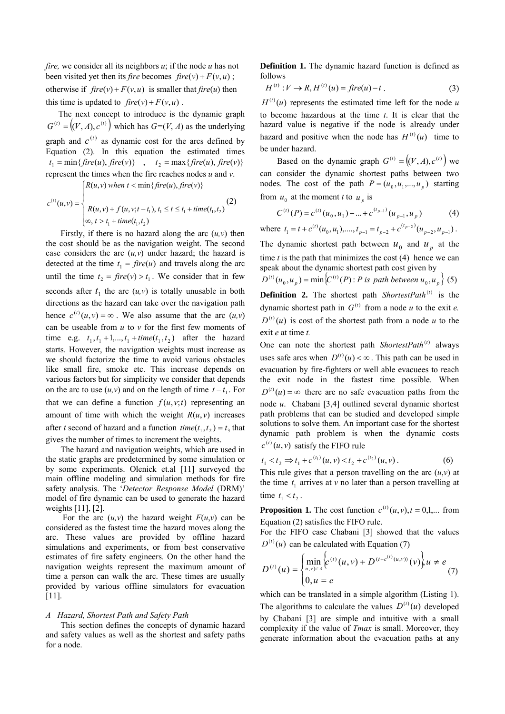*fire,* we consider all its neighbors *u*; if the node *u* has not been visited yet then its *fire* becomes  $\text{fire}(v) + F(v, u)$ ; otherwise if  $\text{fire}(v) + F(v, u)$  is smaller that  $\text{fire}(u)$  then this time is updated to  $\text{fire}(v) + F(v, u)$ .

 The next concept to introduce is the dynamic graph  $G^{(t)} = ((V, A), c^{(t)})$  which has  $G=(V, A)$  as the underlying graph and  $c^{(t)}$  as dynamic cost for the arcs defined by Equation (2). In this equation the estimated times  $t_1 = \min\{$  *fire*(*u*), *fire*(*v*)},  $t_2 = \max\{$  *fire*(*u*), *fire*(*v*)} represent the times when the fire reaches nodes *u* and *v*.

> $R(u, v)$  when  $t < min{$ fire $(u)$ , fire $(v)$ }  $\int$

$$
c^{(t)}(u,v) = \begin{cases} \nR(u,v) + f(u,v,t-t_1), t_1 \le t \le t_1 + \text{time}(t_1, t_2) \\
\infty, t > t_1 + \text{time}(t_1, t_2) \n\end{cases}
$$
\n(2)

detected at the time  $t_1 = fire(u)$  and travels along the arc until the time  $t_2 = \text{fire}(v) > t_1$ . We consider that in few seconds after  $t_1$  the arc  $(u,v)$  is totally unusable in both hence  $c^{(t)}(u, v) = \infty$ . We also assume that the arc  $(u,v)$ time e.g.  $t_1, t_1 + 1, \ldots, t_1 + \text{time}(t_1, t_2)$  after the hazard on the arc to use  $(u, v)$  and on the length of time  $t - t_1$ . For Firstly, if there is no hazard along the arc  $(u, v)$  then the cost should be as the navigation weight. The second case considers the arc  $(u, v)$  under hazard; the hazard is directions as the hazard can take over the navigation path can be useable from *u* to *v* for the first few moments of starts. However, the navigation weights must increase as we should factorize the time to avoid various obstacles like small fire, smoke etc. This increase depends on various factors but for simplicity we consider that depends that we can define a function  $f(u, v; t)$  representing an amount of time with which the weight  $R(u, v)$  increases after *t* second of hazard and a function  $time(t_1, t_2) = t_3$  that gives the number of times to increment the weights.

 The hazard and navigation weights, which are used in the static graphs are predetermined by some simulation or by some experiments. Olenick et.al [11] surveyed the main offline modeling and simulation methods for fire safety analysis. The '*Detector Response Model* (DRM)' model of fire dynamic can be used to generate the hazard weights [11], [2].

For the arc  $(u, v)$  the hazard weight  $F(u,v)$  can be considered as the fastest time the hazard moves along the arc. These values are provided by offline hazard simulations and experiments, or from best conservative estimates of fire safety engineers. On the other hand the navigation weights represent the maximum amount of time a person can walk the arc. These times are usually provided by various offline simulators for evacuation [11].

## *A Hazard, Shortest Path and Safety Path*

 This section defines the concepts of dynamic hazard and safety values as well as the shortest and safety paths for a node.

**Definition 1.** The dynamic hazard function is defined as follows

$$
H^{(t)}: V \to R, H^{(t)}(u) = fire(u) - t.
$$
 (3)

 $H^{(t)}(u)$  represents the estimated time left for the node *u* to become hazardous at the time *t*. It is clear that the hazard value is negative if the node is already under hazard and positive when the node has  $H^{(t)}(u)$  time to be under hazard.

Based on the dynamic graph  $G^{(t)} = ((V, A), c^{(t)})$  we can consider the dynamic shortest paths between two nodes. The cost of the path  $P = (u_0, u_1, \dots, u_p)$  starting from  $u_0$  at the moment *t* to  $u_p$  is

$$
C^{(t)}(P) = c^{(t)}(u_0, u_1) + \dots + c^{(t_{p-1})}(u_{p-1}, u_p)
$$
 (4)

where  $t_1 = t + c^{(t)}(u_0, u_1),..., t_{p-1} = t_{p-2} + c^{(t_{p-2})}(u_{p-2}, u_{p-1})$ .  $t'_{1} = t + c^{(t)}(u_{0}, u_{1}), \dots, t_{p-1} = t_{p-2} + c^{(t_{p-2})}(u_{p-2}, u_{p-1})$  $t_1 = t + c^{(t)}(u_0, u_1), \dots, t_{p-1} = t_{p-2} + c^{(t_{p-2})}(u_{p-2}, u_0)$ The dynamic shortest path between  $u_0$  and  $u_p$  at the time  $t$  is the path that minimizes the cost  $(4)$  hence we can speak about the dynamic shortest path cost given by  $D^{(t)}(u_0, u_p) = \min \{C^{(t)}(P) : P \text{ is path between } u_0, u_p\}$  (5)

**Definition 2.** The shortest path *ShortestPath*<sup>(*t*)</sup> is the dynamic shortest path in  $G^{(t)}$  from a node *u* to the exit *e*.  $D^{(t)}(u)$  is cost of the shortest path from a node *u* to the exit *e* at time *t.*

One can note the shortest path *ShortestPath*<sup>(*t*)</sup> always uses safe arcs when  $D^{(t)}(u) < \infty$ . This path can be used in evacuation by fire-fighters or well able evacuees to reach the exit node in the fastest time possible. When  $D^{(t)}(u) = \infty$  there are no safe evacuation paths from the node *u*. Chabani [3,4] outlined several dynamic shortest path problems that can be studied and developed simple solutions to solve them. An important case for the shortest dynamic path problem is when the dynamic costs  $c^{(t)}(u, v)$  satisfy the FIFO rule

$$
t_1 < t_2 \Rightarrow t_1 + c^{(t_1)}(u, v) < t_2 + c^{(t_2)}(u, v).
$$
 (6)

This rule gives that a person travelling on the arc  $(u, v)$  at the time  $t_1$  arrives at  $v$  no later than a person travelling at time  $t_1 < t_2$ .

**Proposition 1.** The cost function  $c^{(t)}(u, v)$ ,  $t = 0,1,...$  from Equation (2) satisfies the FIFO rule.

For the FIFO case Chabani [3] showed that the values  $D^{(t)}(u)$  can be calculated with Equation (7)

$$
D^{(t)}(u) = \begin{cases} \min_{u,v \in A} \left\{ e^{(t)}(u,v) + D^{(t+c^{(t)}(u,v))}(v) \right\} u \neq e \\ 0, u = e \end{cases}
$$
(7)

which can be translated in a simple algorithm (Listing 1). The algorithms to calculate the values  $D^{(t)}(u)$  developed by Chabani [3] are simple and intuitive with a small complexity if the value of *Tmax* is small. Moreover, they generate information about the evacuation paths at any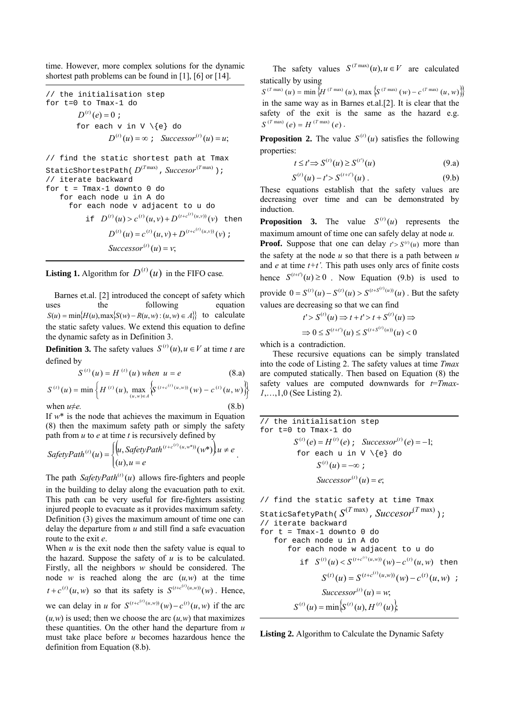time. However, more complex solutions for the dynamic shortest path problems can be found in [1], [6] or [14].

// the initialisation step for t=0 to Tmax-1 do  $D^{(t)}(e) = 0;$ for each v in  $V \setminus \{e\}$  do  $D^{(t)}(u) = \infty$ ; Successor<sup>(t)</sup>(u) = u;

```
// find the static shortest path at Tmax 
StaticShortestPath(D^{(T \max)}, Succesor^{(T \max)});
// iterate backward 
for t = Tmax-1 downto 0 do 
    for each node u in A do 
       for each node v adjacent to u do 
if D^{(t)}(u) > c^{(t)}(u,v) + D^{(t+c^{(t)}(u,v))}(v) then
                 D^{(t)}(u) = c^{(t)}(u,v) + D^{(t+c^{(t)}(u,v))}(v) i
```
 $Successor^{(t)}(u) = v$ ;

**Listing 1.** Algorithm for  $D^{(t)}(u)$  in the FIFO case.

 Barnes et.al. [2] introduced the concept of safety which uses the following equation  $S(u) = min\{H(u),max\{S(w) - R(u,w): (u,w) \in A\}\}$  to calculate the static safety values. We extend this equation to define the dynamic safety as in Definition 3.

**Definition 3.** The safety values  $S^{(t)}(u)$ ,  $u \in V$  at time *t* are defined by

$$
S^{(t)}(u) = H^{(t)}(u) \text{ when } u = e \tag{8.3}
$$

 $\left\{ S^{(t+c^{(t)}(u,w))}(w) - c^{(t)}(u,w) \right\}$  $(u) = \min \left\{ H^{(t)}(u), \max_{(u,w)\in A} \left\{ S^{(t+c^{(t)}(u,w))}(w) - c^{(t)}(u,w) \right\} \right\}$  $S^{(t)}(u) = \min \left\{ H^{(t)}(u), \max_{(u,w)\in A} \left\{ S^{(t+c^{(t)}(u,w))}(w) - c^{(t)}(u,w) \right\} \right\}$  $F(t)$   $\left(t\right)$   $t$   $t$   $\right)$   $\left(t\right)$   $\left(t\right)$   $t$   $\left(t\right)$   $\left(t\right)$   $\left(t\right)$   $\left(t\right)$   $\left(t\right)$   $\left(t\right)$   $\left(t\right)$   $\left(t\right)$   $\left(t\right)$   $\left(t\right)$   $\left(t\right)$   $\left(t\right)$   $\left(t\right)$   $\left(t\right)$   $\left(t\right)$   $\left(t\right)$   $\left(t\right)$   $\left(t\right)$   $\left(t\right)$ 

when  $u \neq e$ .

-

If *w*\* is the node that achieves the maximum in Equation (8) then the maximum safety path or simply the safety path from *u* to *e* at time *t* is recursively defined by

$$
SafetyPath(t)(u) = \begin{cases} \{u, SafetyPath(t+c(t)(u,w*))}(w*) \} u \neq e \\ (u), u = e \end{cases}.
$$

The path  $SafetyPath<sup>(t)</sup>(u)$  allows fire-fighters and people

in the building to delay along the evacuation path to exit. This path can be very useful for fire-fighters assisting injured people to evacuate as it provides maximum safety. Definition (3) gives the maximum amount of time one can delay the departure from *u* and still find a safe evacuation route to the exit *e*.

When  $u$  is the exit node then the safety value is equal to the hazard. Suppose the safety of  $u$  is to be calculated. Firstly, all the neighbors *w* should be considered. The node *w* is reached along the arc  $(u, w)$  at the time  $t + c^{(t)}(u, w)$  so that its safety is  $S^{(t+c^{(t)}(u, w))}(w)$ . Hence, we can delay in *u* for  $S^{(t+c^{(t)}(u,w))}(w) - c^{(t)}(u,w)$  if the arc  $(u, w)$  is used; then we choose the arc  $(u, w)$  that maximizes these quantities. On the other hand the departure from *u* must take place before *u* becomes hazardous hence the definition from Equation (8.b).

The safety values  $S^{(T \max)}(u), u \in V$  are calculated statically by using

 $S^{(T \text{ max})}(u) = \min \{ H^{(T \text{ max})}(u), \max \{ S^{(T \text{ max})}(w) - c^{(T \text{ max})}(u, w) \} \}$  $S^{(T \text{ max})}(e) = H^{(T \text{ max})}(e)$ . in the same way as in Barnes et.al.[2]. It is clear that the safety of the exit is the same as the hazard e.g.

**Proposition 2.** The value  $S^{(t)}(u)$  satisfies the following properties:

$$
t \le t' \Rightarrow S^{(t)}(u) \ge S^{(t)}(u) \tag{9.a}
$$

$$
S^{(t)}(u) - t' > S^{(t+t')}(u) \tag{9.b}
$$

These equations establish that the safety values are decreasing over time and can be demonstrated by induction.

**Proposition 3.** The value  $S^{(t)}(u)$  represents the maximum amount of time one can safely delay at node *u.* **Proof.** Suppose that one can delay  $t' > S^{(t)}(u)$  more than the safety at the node *u* so that there is a path between *u* and *e* at time *t+t'.* This path uses only arcs of finite costs hence  $S^{(t+t)}(u) \ge 0$ . Now Equation (9.b) is used to provide  $0 = S^{(t)}(u) - S^{(t)}(u) > S^{(t+S^{(t)}(u))}(u)$ . But the safety values are decreasing so that we can find

$$
t' > S^{(t)}(u) \Rightarrow t + t' > t + S^{(t)}(u) \Rightarrow
$$
  

$$
\Rightarrow 0 \le S^{(t+t')}(u) \le S^{(t+S^{(t)}(u))}(u) < 0
$$

which is a contradiction.

 These recursive equations can be simply translated into the code of Listing 2. The safety values at time *Tmax* are computed statically. Then based on Equation (8) the safety values are computed downwards for *t*=*Tmax-1*,…,1,0 (See Listing 2).

// the initialisation step for t=0 to Tmax-1 do  $S^{(t)}(e) = H^{(t)}(e)$ ; Successor<sup>(t)</sup>(e) = -1; for each u in V \{e} do  $S^{(t)}(u) = -\infty$ :  $Successor^{(t)}(u) = e$ 

// find the static safety at time Tmax StaticSafetyPath( $S^{(T \text{ max})}$ ,  $Succesor^{(T \text{ max})}$ ); // iterate backward for t = Tmax-1 downto 0 do for each node u in A do for each node w adjacent to u do if  $S^{(t)}(u) < S^{(t+c^{(t)}(u,w))}(w) - c^{(t)}(u,w)$  then  $S^{(t)}(u) = S^{(t+c^{(t)}(u,w))}(w) - c^{(t)}(u,w)$  *i*  $Successor^{(t)}(u) = w$  ${S}^{(t)}(u) = \min\left\{S^{(t)}(u), H^{(t)}(u)\right\}$ -

**Listing 2.** Algorithm to Calculate the Dynamic Safety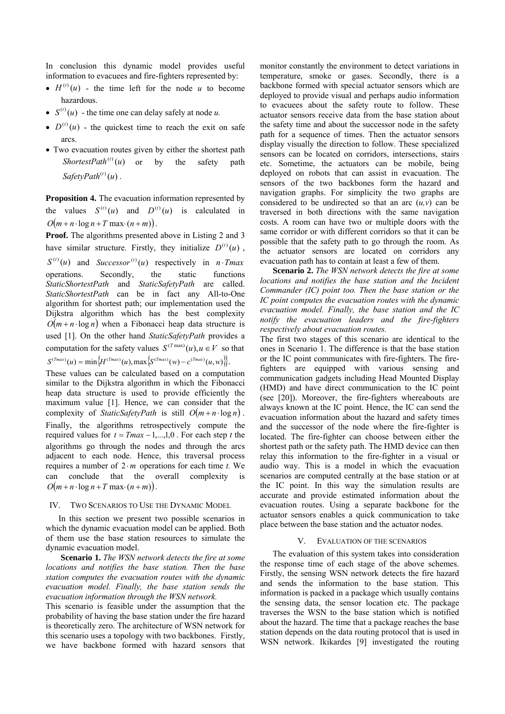In conclusion this dynamic model provides useful information to evacuees and fire-fighters represented by:

- $H^{(t)}(u)$  the time left for the node *u* to become hazardous.
- $S^{(t)}(u)$  the time one can delay safely at node *u*.
- $D^{(t)}(u)$  the quickest time to reach the exit on safe arcs.
- Two evacuation routes given by either the shortest path  $ShortestPath<sup>(t)</sup>(u)$  or by the safety path  $S$ *afetyPath*<sup> $(t)$ </sup>  $(u)$  .

**Proposition 4.** The evacuation information represented by the values  $S^{(t)}(u)$  and  $D^{(t)}(u)$  is calculated in  $O(m+n\cdot\log n+T\max(n+m)).$ 

**Proof.** The algorithms presented above in Listing 2 and 3 have similar structure. Firstly, they initialize  $D^{(t)}(u)$ ,  $S^{(t)}(u)$  and *Successor*<sup>(*t*)</sup>(*u*) respectively in *n Tmax* operations. Secondly, the static functions *StaticShortestPath* and *StaticSafetyPath* are called. *StaticShortestPath* can be in fact any All-to-One algorithm for shortest path; our implementation used the Dijkstra algorithm which has the best complexity  $O(m+n \cdot \log n)$  when a Fibonacci heap data structure is used [1]. On the other hand *StaticSafetyPath* provides a computation for the safety values  $S^{(T \max)}(u), u \in V$  so that  $S^{(Tmax)}(u) = \min \{ H^{(Tmax)}(u), \max \{ S^{(Tmax)}(w) - c^{(Tmax)}(u, w) \} \}.$ 

complexity of *StaticSafetyPath* is still  $O(m + n \cdot \log n)$ . These values can be calculated based on a computation similar to the Dijkstra algorithm in which the Fibonacci heap data structure is used to provide efficiently the maximum value [1]. Hence, we can consider that the Finally, the algorithms retrospectively compute the required values for  $t = Tmax -1, ..., 1, 0$ . For each step t the algorithms go through the nodes and through the arcs adjacent to each node. Hence, this traversal process requires a number of  $2 \cdot m$  operations for each time *t*. We can conclude that the overall complexity is  $O(m+n\cdot\log n+T\max(n+m)).$ 

## IV. TWO SCENARIOS TO USE THE DYNAMIC MODEL

 In this section we present two possible scenarios in which the dynamic evacuation model can be applied. Both of them use the base station resources to simulate the dynamic evacuation model.

 **Scenario 1.** *The WSN network detects the fire at some locations and notifies the base station. Then the base station computes the evacuation routes with the dynamic evacuation model. Finally, the base station sends the evacuation information through the WSN network.* 

This scenario is feasible under the assumption that the probability of having the base station under the fire hazard is theoretically zero. The architecture of WSN network for this scenario uses a topology with two backbones. Firstly, we have backbone formed with hazard sensors that

monitor constantly the environment to detect variations in temperature, smoke or gases. Secondly, there is a backbone formed with special actuator sensors which are deployed to provide visual and perhaps audio information to evacuees about the safety route to follow. These actuator sensors receive data from the base station about the safety time and about the successor node in the safety path for a sequence of times. Then the actuator sensors display visually the direction to follow. These specialized sensors can be located on corridors, intersections, stairs etc. Sometime, the actuators can be mobile, being deployed on robots that can assist in evacuation. The sensors of the two backbones form the hazard and navigation graphs. For simplicity the two graphs are considered to be undirected so that an arc (*u,v*) can be traversed in both directions with the same navigation costs. A room can have two or multiple doors with the same corridor or with different corridors so that it can be possible that the safety path to go through the room. As the actuator sensors are located on corridors any evacuation path has to contain at least a few of them.

 **Scenario 2.** *The WSN network detects the fire at some locations and notifies the base station and the Incident Commander (IC) point too. Then the base station or the IC point computes the evacuation routes with the dynamic evacuation model. Finally, the base station and the IC notify the evacuation leaders and the fire-fighters respectively about evacuation routes.* 

The first two stages of this scenario are identical to the ones in Scenario 1. The difference is that the base station or the IC point communicates with fire-fighters. The firefighters are equipped with various sensing and communication gadgets including Head Mounted Display (HMD) and have direct communication to the IC point (see [20]). Moreover, the fire-fighters whereabouts are always known at the IC point. Hence, the IC can send the evacuation information about the hazard and safety times and the successor of the node where the fire-fighter is located. The fire-fighter can choose between either the shortest path or the safety path. The HMD device can then relay this information to the fire-fighter in a visual or audio way. This is a model in which the evacuation scenarios are computed centrally at the base station or at the IC point. In this way the simulation results are accurate and provide estimated information about the evacuation routes. Using a separate backbone for the actuator sensors enables a quick communication to take place between the base station and the actuator nodes.

### V. EVALUATION OF THE SCENARIOS

 The evaluation of this system takes into consideration the response time of each stage of the above schemes. Firstly, the sensing WSN network detects the fire hazard and sends the information to the base station. This information is packed in a package which usually contains the sensing data, the sensor location etc. The package traverses the WSN to the base station which is notified about the hazard. The time that a package reaches the base station depends on the data routing protocol that is used in WSN network. Ikikardes [9] investigated the routing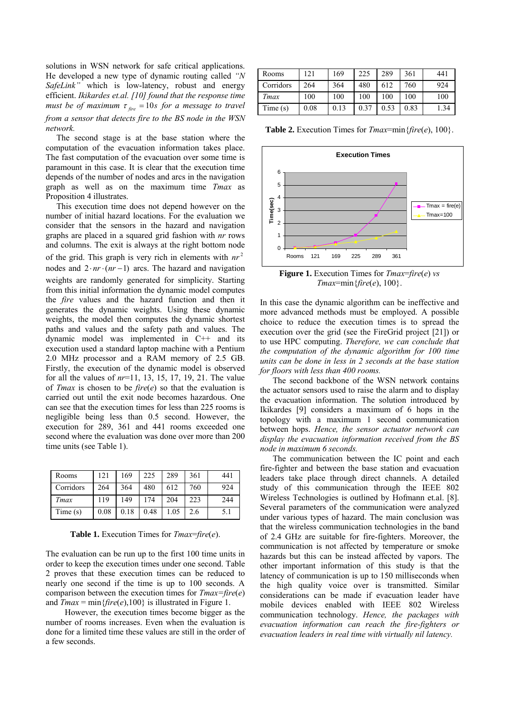solutions in WSN network for safe critical applications. He developed a new type of dynamic routing called *"N SafeLink"* which is low-latency, robust and energy efficient. *Ikikardes et.al. [10] found that the response time must be of maximum*  $\tau_{\text{fire}} = 10s$  *for a message to travel from a sensor that detects fire to the BS node in the WSN network.* 

 The second stage is at the base station where the computation of the evacuation information takes place. The fast computation of the evacuation over some time is paramount in this case. It is clear that the execution time depends of the number of nodes and arcs in the navigation graph as well as on the maximum time *Tmax* as Proposition 4 illustrates.

 This execution time does not depend however on the number of initial hazard locations. For the evaluation we consider that the sensors in the hazard and navigation graphs are placed in a squared grid fashion with *nr* rows and columns. The exit is always at the right bottom node of the grid. This graph is very rich in elements with  $nr<sup>2</sup>$ nodes and  $2 \cdot nr \cdot (nr-1)$  arcs. The hazard and navigation weights are randomly generated for simplicity. Starting from this initial information the dynamic model computes the *fire* values and the hazard function and then it generates the dynamic weights. Using these dynamic weights, the model then computes the dynamic shortest paths and values and the safety path and values. The dynamic model was implemented in C++ and its execution used a standard laptop machine with a Pentium 2.0 MHz processor and a RAM memory of 2.5 GB. Firstly, the execution of the dynamic model is observed for all the values of *nr*=11, 13, 15, 17, 19, 21. The value of *Tmax* is chosen to be *fire*(*e*) so that the evaluation is carried out until the exit node becomes hazardous. One can see that the execution times for less than 225 rooms is negligible being less than 0.5 second. However, the execution for 289, 361 and 441 rooms exceeded one second where the evaluation was done over more than 200 time units (see Table 1).

| Rooms     | 121  | 169  | 225  | 289  | 361 | 441 |
|-----------|------|------|------|------|-----|-----|
| Corridors | 264  | 364  | 480  | 612  | 760 | 924 |
| Tmax      | 119  | 149  | 174  | 204  | 223 | 244 |
| Time(s)   | 0.08 | 0.18 | 0.48 | 1.05 | 2.6 | 5.1 |

**Table 1.** Execution Times for *Tmax*=*fire*(*e*).

The evaluation can be run up to the first 100 time units in order to keep the execution times under one second. Table 2 proves that these execution times can be reduced to nearly one second if the time is up to 100 seconds. A comparison between the execution times for *Tmax=fire*(*e*) and  $Tmax = min{$ *fire*(*e*),100} is illustrated in Figure 1.

 However, the execution times become bigger as the number of rooms increases. Even when the evaluation is done for a limited time these values are still in the order of a few seconds.

| Rooms     | 121  | 169  | 225  | 289  | 361  | 441 |
|-----------|------|------|------|------|------|-----|
| Corridors | 264  | 364  | 480  | 612  | 760  | 924 |
| Tmax      | 100  | 100  | 100  | 100  | 100  | 100 |
| Time(s)   | 0.08 | 0.13 | 0.37 | 0.53 | 0.83 | .34 |

**Table 2.** Execution Times for *Tmax*=min{*fire*(*e*), 100}.



**Figure 1.** Execution Times for *Tmax*=*fire*(*e*) *vs Tmax*=min{*fire*(*e*), 100}.

In this case the dynamic algorithm can be ineffective and more advanced methods must be employed. A possible choice to reduce the execution times is to spread the execution over the grid (see the FireGrid project [21]) or to use HPC computing. *Therefore, we can conclude that the computation of the dynamic algorithm for 100 time units can be done in less in 2 seconds at the base station for floors with less than 400 rooms.* 

 The second backbone of the WSN network contains the actuator sensors used to raise the alarm and to display the evacuation information. The solution introduced by Ikikardes [9] considers a maximum of 6 hops in the topology with a maximum 1 second communication between hops. *Hence, the sensor actuator network can display the evacuation information received from the BS node in maximum 6 seconds.*

 The communication between the IC point and each fire-fighter and between the base station and evacuation leaders take place through direct channels. A detailed study of this communication through the IEEE 802 Wireless Technologies is outlined by Hofmann et.al. [8]. Several parameters of the communication were analyzed under various types of hazard. The main conclusion was that the wireless communication technologies in the band of 2.4 GHz are suitable for fire-fighters. Moreover, the communication is not affected by temperature or smoke hazards but this can be instead affected by vapors. The other important information of this study is that the latency of communication is up to 150 milliseconds when the high quality voice over is transmitted. Similar considerations can be made if evacuation leader have mobile devices enabled with IEEE 802 Wireless communication technology. *Hence, the packages with evacuation information can reach the fire-fighters or evacuation leaders in real time with virtually nil latency.*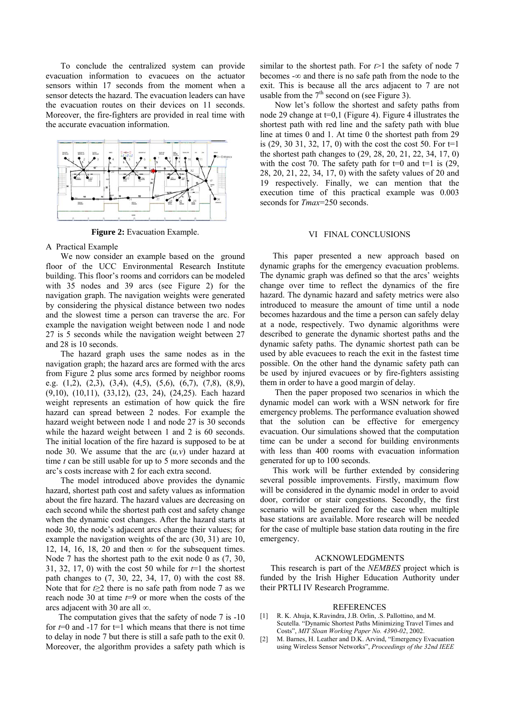To conclude the centralized system can provide evacuation information to evacuees on the actuator sensors within 17 seconds from the moment when a sensor detects the hazard. The evacuation leaders can have the evacuation routes on their devices on 11 seconds. Moreover, the fire-fighters are provided in real time with the accurate evacuation information.



**Figure 2:** Evacuation Example.

### A Practical Example

 We now consider an example based on the ground floor of the UCC Environmental Research Institute building. This floor's rooms and corridors can be modeled with 35 nodes and 39 arcs (see Figure 2) for the navigation graph. The navigation weights were generated by considering the physical distance between two nodes and the slowest time a person can traverse the arc. For example the navigation weight between node 1 and node 27 is 5 seconds while the navigation weight between 27 and 28 is 10 seconds.

 The hazard graph uses the same nodes as in the navigation graph; the hazard arcs are formed with the arcs from Figure 2 plus some arcs formed by neighbor rooms e.g. (1,2), (2,3), (3,4), (4,5), (5,6), (6,7), (7,8), (8,9), (9,10), (10,11), (33,12), (23, 24), (24,25). Each hazard weight represents an estimation of how quick the fire hazard can spread between 2 nodes. For example the hazard weight between node 1 and node 27 is 30 seconds while the hazard weight between 1 and 2 is 60 seconds. The initial location of the fire hazard is supposed to be at node 30. We assume that the arc (*u,v*) under hazard at time *t* can be still usable for up to 5 more seconds and the arc's costs increase with 2 for each extra second.

 The model introduced above provides the dynamic hazard, shortest path cost and safety values as information about the fire hazard. The hazard values are decreasing on each second while the shortest path cost and safety change when the dynamic cost changes. After the hazard starts at node 30, the node's adjacent arcs change their values; for example the navigation weights of the arc (30, 31) are 10, 12, 14, 16, 18, 20 and then  $\infty$  for the subsequent times. Node 7 has the shortest path to the exit node 0 as (7, 30, 31, 32, 17, 0) with the cost 50 while for *t*=1 the shortest path changes to (7, 30, 22, 34, 17, 0) with the cost 88. Note that for *t*≥2 there is no safe path from node 7 as we reach node 30 at time *t*=9 or more when the costs of the arcs adjacent with 30 are all ∞.

 The computation gives that the safety of node 7 is -10 for  $t=0$  and  $-17$  for  $t=1$  which means that there is not time to delay in node 7 but there is still a safe path to the exit 0. Moreover, the algorithm provides a safety path which is

similar to the shortest path. For  $t > 1$  the safety of node 7 becomes  $-\infty$  and there is no safe path from the node to the exit. This is because all the arcs adjacent to 7 are not usable from the  $7<sup>th</sup>$  second on (see Figure 3).

 Now let's follow the shortest and safety paths from node 29 change at  $t=0,1$  (Figure 4). Figure 4 illustrates the shortest path with red line and the safety path with blue line at times 0 and 1. At time 0 the shortest path from 29 is  $(29, 30, 31, 32, 17, 0)$  with the cost the cost 50. For  $t=1$ the shortest path changes to (29, 28, 20, 21, 22, 34, 17, 0) with the cost 70. The safety path for  $t=0$  and  $t=1$  is (29, 28, 20, 21, 22, 34, 17, 0) with the safety values of 20 and 19 respectively. Finally, we can mention that the execution time of this practical example was 0.003 seconds for *Tmax*=250 seconds.

#### VI FINAL CONCLUSIONS

 This paper presented a new approach based on dynamic graphs for the emergency evacuation problems. The dynamic graph was defined so that the arcs' weights change over time to reflect the dynamics of the fire hazard. The dynamic hazard and safety metrics were also introduced to measure the amount of time until a node becomes hazardous and the time a person can safely delay at a node, respectively. Two dynamic algorithms were described to generate the dynamic shortest paths and the dynamic safety paths. The dynamic shortest path can be used by able evacuees to reach the exit in the fastest time possible. On the other hand the dynamic safety path can be used by injured evacuees or by fire-fighters assisting them in order to have a good margin of delay.

 Then the paper proposed two scenarios in which the dynamic model can work with a WSN network for fire emergency problems. The performance evaluation showed that the solution can be effective for emergency evacuation. Our simulations showed that the computation time can be under a second for building environments with less than 400 rooms with evacuation information generated for up to 100 seconds.

 This work will be further extended by considering several possible improvements. Firstly, maximum flow will be considered in the dynamic model in order to avoid door, corridor or stair congestions. Secondly, the first scenario will be generalized for the case when multiple base stations are available. More research will be needed for the case of multiple base station data routing in the fire emergency.

#### ACKNOWLEDGMENTS

 This research is part of the *NEMBES* project which is funded by the Irish Higher Education Authority under their PRTLI IV Research Programme.

#### REFERENCES

- [1] R. K. Ahuja, K.Ravindra, J.B. Orlin, .S. Pallottino, and M. Scutella. "Dynamic Shortest Paths Minimizing Travel Times and Costs", *MIT Sloan Working Paper No. 4390-02*, 2002.
- [2] M. Barnes, H. Leather and D.K. Arvind, "Emergency Evacuation using Wireless Sensor Networks", *Proceedings of the 32nd IEEE*